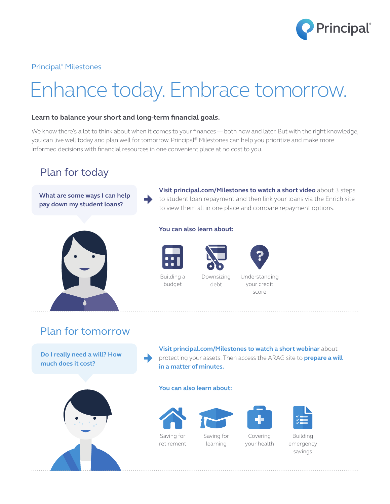

Principal® Milestones

# Enhance today. Embrace tomorrow.

## **Learn to balance your short and long-term financial goals.**

We know there's a lot to think about when it comes to your finances — both now and later. But with the right knowledge, you can live well today and plan well for tomorrow. Principal® Milestones can help you prioritize and make more informed decisions with financial resources in one convenient place at no cost to you.

# Plan for today

**What are some ways I can help pay down my student loans?**

### **You can also learn about:**



Building a budget

Downsizing debt



**Visit principal.com/Milestones to watch a short video** about 3 steps to student loan repayment and then link your loans via the Enrich site

to view them all in one place and compare repayment options.

your credit score

Plan for tomorrow

**Do I really need a will? How much does it cost?**



**Visit principal.com/Milestones to watch a short webinar** about protecting your assets. Then access the ARAG site to **prepare a will in a matter of minutes.**

#### **You can also learn about:**







learning

Covering your health



Building emergency savings